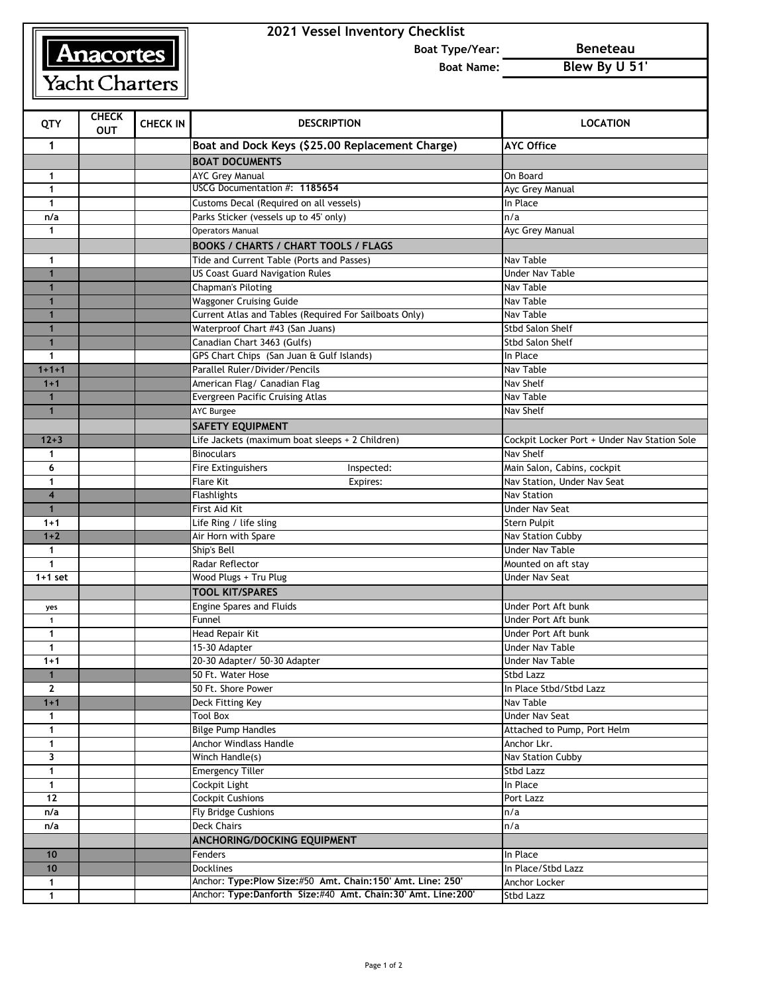# Anacortes Yacht Charters

## **2021 Vessel Inventory Checklist**

**Boat Type/Year: Beneteau**

**Boat Name: Blew By U 51'**

| QTY            | <b>CHECK</b><br><b>OUT</b> | <b>CHECK IN</b> | <b>DESCRIPTION</b>                                            | <b>LOCATION</b>                              |
|----------------|----------------------------|-----------------|---------------------------------------------------------------|----------------------------------------------|
| 1              |                            |                 | Boat and Dock Keys (\$25.00 Replacement Charge)               | <b>AYC Office</b>                            |
|                |                            |                 | <b>BOAT DOCUMENTS</b>                                         |                                              |
| 1              |                            |                 | <b>AYC Grey Manual</b>                                        | On Board                                     |
| $\mathbf{1}$   |                            |                 | USCG Documentation #: 1185654                                 | Ayc Grey Manual                              |
| 1              |                            |                 | Customs Decal (Required on all vessels)                       | In Place                                     |
| n/a            |                            |                 | Parks Sticker (vessels up to 45' only)                        | n/a                                          |
| 1              |                            |                 | <b>Operators Manual</b>                                       | Ayc Grey Manual                              |
|                |                            |                 | <b>BOOKS / CHARTS / CHART TOOLS / FLAGS</b>                   |                                              |
| 1              |                            |                 | Tide and Current Table (Ports and Passes)                     | Nav Table                                    |
| $\mathbf{1}$   |                            |                 | <b>US Coast Guard Navigation Rules</b>                        | <b>Under Nav Table</b>                       |
| 1              |                            |                 | Chapman's Piloting                                            | Nav Table                                    |
|                |                            |                 | <b>Waggoner Cruising Guide</b>                                | Nav Table                                    |
| $\mathbf 1$    |                            |                 | Current Atlas and Tables (Required For Sailboats Only)        | Nav Table                                    |
| $\mathbf 1$    |                            |                 | Waterproof Chart #43 (San Juans)                              | <b>Stbd Salon Shelf</b>                      |
|                |                            |                 | Canadian Chart 3463 (Gulfs)                                   | <b>Stbd Salon Shelf</b>                      |
| 1              |                            |                 | GPS Chart Chips (San Juan & Gulf Islands)                     | In Place                                     |
| $1 + 1 + 1$    |                            |                 | Parallel Ruler/Divider/Pencils                                | Nav Table                                    |
| $1 + 1$        |                            |                 | American Flag/ Canadian Flag                                  | Nav Shelf                                    |
| $\mathbf 1$    |                            |                 | <b>Evergreen Pacific Cruising Atlas</b>                       | Nav Table                                    |
| $\mathbf{1}$   |                            |                 | <b>AYC Burgee</b>                                             | Nav Shelf                                    |
|                |                            |                 | <b>SAFETY EQUIPMENT</b>                                       |                                              |
| $12 + 3$       |                            |                 | Life Jackets (maximum boat sleeps + 2 Children)               | Cockpit Locker Port + Under Nav Station Sole |
| 1              |                            |                 | <b>Binoculars</b>                                             | Nav Shelf                                    |
| 6              |                            |                 | <b>Fire Extinguishers</b><br>Inspected:                       | Main Salon, Cabins, cockpit                  |
| 1              |                            |                 | <b>Flare Kit</b><br>Expires:                                  | Nav Station, Under Nav Seat                  |
| $\overline{4}$ |                            |                 | <b>Flashlights</b>                                            | <b>Nav Station</b>                           |
|                |                            |                 | First Aid Kit                                                 | Under Nav Seat                               |
| $1 + 1$        |                            |                 | Life Ring / life sling                                        | Stern Pulpit                                 |
| $1 + 2$        |                            |                 | Air Horn with Spare                                           | Nav Station Cubby                            |
| $\mathbf 1$    |                            |                 | Ship's Bell                                                   | <b>Under Nav Table</b>                       |
| 1              |                            |                 | Radar Reflector                                               | Mounted on aft stay                          |
| $1+1$ set      |                            |                 | Wood Plugs + Tru Plug                                         | Under Nav Seat                               |
|                |                            |                 | <b>TOOL KIT/SPARES</b>                                        |                                              |
| yes            |                            |                 | Engine Spares and Fluids                                      | Under Port Aft bunk                          |
| $\mathbf{1}$   |                            |                 | Funnel                                                        | Under Port Aft bunk                          |
| 1              |                            |                 | Head Repair Kit                                               | Under Port Aft bunk                          |
| 1              |                            |                 | 15-30 Adapter                                                 | <b>Under Nav Table</b>                       |
| $1 + 1$        |                            |                 | 20-30 Adapter/ 50-30 Adapter                                  | Under Nav Table                              |
|                |                            |                 | 50 Ft. Water Hose                                             | Stbd Lazz                                    |
| $\mathbf{2}$   |                            |                 | 50 Ft. Shore Power                                            | In Place Stbd/Stbd Lazz                      |
| $1 + 1$        |                            |                 | Deck Fitting Key                                              | Nav Table                                    |
| 1              |                            |                 | <b>Tool Box</b>                                               | <b>Under Nav Seat</b>                        |
| 1              |                            |                 | <b>Bilge Pump Handles</b>                                     | Attached to Pump, Port Helm                  |
| $\mathbf{1}$   |                            |                 | Anchor Windlass Handle                                        | Anchor Lkr.                                  |
| 3              |                            |                 | Winch Handle(s)                                               | <b>Nav Station Cubby</b>                     |
| $\mathbf{1}$   |                            |                 | <b>Emergency Tiller</b>                                       | Stbd Lazz                                    |
| $\mathbf{1}$   |                            |                 | Cockpit Light                                                 | In Place                                     |
| 12             |                            |                 | <b>Cockpit Cushions</b>                                       | Port Lazz                                    |
| n/a            |                            |                 | Fly Bridge Cushions                                           | n/a                                          |
| n/a            |                            |                 | <b>Deck Chairs</b>                                            | n/a                                          |
|                |                            |                 | ANCHORING/DOCKING EQUIPMENT                                   |                                              |
| 10             |                            |                 | Fenders                                                       | In Place                                     |
| 10             |                            |                 | <b>Docklines</b>                                              | In Place/Stbd Lazz                           |
| $\mathbf 1$    |                            |                 | Anchor: Type: Plow Size: #50 Amt. Chain: 150' Amt. Line: 250' | Anchor Locker                                |
| 1              |                            |                 | Anchor: Type:Danforth Size:#40 Amt. Chain:30' Amt. Line:200'  | Stbd Lazz                                    |